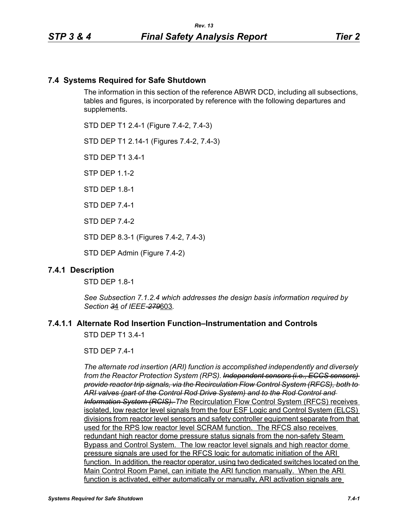# **7.4 Systems Required for Safe Shutdown**

The information in this section of the reference ABWR DCD, including all subsections, tables and figures, is incorporated by reference with the following departures and supplements.

STD DEP T1 2.4-1 (Figure 7.4-2, 7.4-3)

STD DEP T1 2.14-1 (Figures 7.4-2, 7.4-3)

STD DEP T1 3.4-1

STP DEP 1.1-2

STD DFP 18-1

STD DEP 7.4-1

STD DEP 7.4-2

STD DEP 8.3-1 (Figures 7.4-2, 7.4-3)

STD DEP Admin (Figure 7.4-2)

### **7.4.1 Description**

STD DEP 1.8-1

*See Subsection 7.1.2.4 which addresses the design basis information required by Section 3*4 *of IEEE-279*603*.*

# **7.4.1.1 Alternate Rod Insertion Function–Instrumentation and Controls**

STD DEP T1 3.4-1

STD DEP 7.4-1

*The alternate rod insertion (ARI) function is accomplished independently and diversely from the Reactor Protection System (RPS). Independent sensors (i.e., ECCS sensors) provide reactor trip signals, via the Recirculation Flow Control System (RFCS), both to ARI valves (part of the Control Rod Drive System) and to the Rod Control and Information System (RCIS). The* Recirculation Flow Control System (RFCS) receives isolated, low reactor level signals from the four ESF Logic and Control System (ELCS) divisions from reactor level sensors and safety controller equipment separate from that used for the RPS low reactor level SCRAM function. The RFCS also receives redundant high reactor dome pressure status signals from the non-safety Steam Bypass and Control System. The low reactor level signals and high reactor dome pressure signals are used for the RFCS logic for automatic initiation of the ARI function. In addition, the reactor operator, using two dedicated switches located on the Main Control Room Panel, can initiate the ARI function manually. When the ARI function is activated, either automatically or manually, ARI activation signals are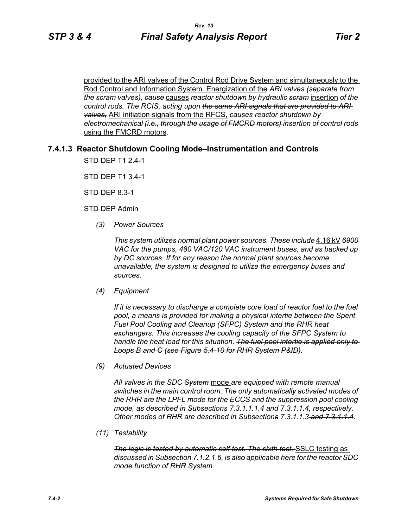provided to the ARI valves of the Control Rod Drive System and simultaneously to the Rod Control and Information System. Energization of the *ARI valves (separate from the scram valves), cause* causes *reactor shutdown by hydraulic scram* insertion *of the control rods. The RCIS, acting upon the same ARI signals that are provided to ARI valves,* ARI initiation signals from the RFCS, *causes reactor shutdown by electromechanical (i.e., through the usage of FMCRD motors) insertion of control rods*  using the FMCRD motors*.*

### **7.4.1.3 Reactor Shutdown Cooling Mode–Instrumentation and Controls**

STD DEP T1 2.4-1

STD DEP T1 3.4-1

STD DEP 8.3-1

STD DEP Admin

*(3) Power Sources*

*This system utilizes normal plant power sources. These include* 4.16 kV *6900 VAC for the pumps, 480 VAC/120 VAC instrument buses, and as backed up by DC sources. If for any reason the normal plant sources become unavailable, the system is designed to utilize the emergency buses and sources.*

*(4) Equipment*

*If it is necessary to discharge a complete core load of reactor fuel to the fuel pool, a means is provided for making a physical intertie between the Spent Fuel Pool Cooling and Cleanup (SFPC) System and the RHR heat exchangers. This increases the cooling capacity of the SFPC System to handle the heat load for this situation. The fuel pool intertie is applied only to Loops B and C (see Figure 5.4-10 for RHR System P&ID).*

*(9) Actuated Devices*

*All valves in the SDC System* mode *are equipped with remote manual switches in the main control room. The only automatically activated modes of the RHR are the LPFL mode for the ECCS and the suppression pool cooling mode, as described in Subsections 7.3.1.1.1.4 and 7.3.1.1.4, respectively. Other modes of RHR are described in Subsections 7.3.1.1.3 and 7.3.1.1.4*.

*(11) Testability*

*The logic is tested by automatic self test. The sixth test,* SSLC testing as *discussed in Subsection 7.1.2.1.6, is also applicable here for the reactor SDC mode function of RHR System.*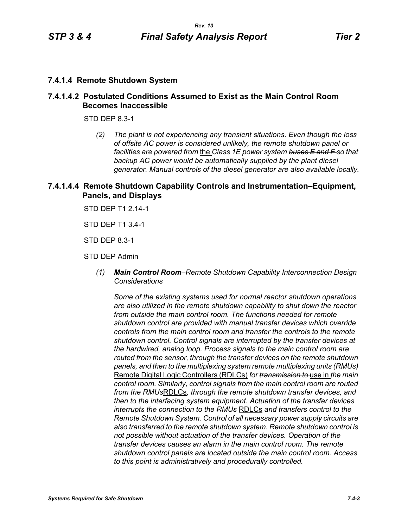### **7.4.1.4 Remote Shutdown System**

# **7.4.1.4.2 Postulated Conditions Assumed to Exist as the Main Control Room Becomes Inaccessible**

STD DEP 8.3-1

*(2) The plant is not experiencing any transient situations. Even though the loss of offsite AC power is considered unlikely, the remote shutdown panel or facilities are powered from* the *Class 1E power system buses E and F so that backup AC power would be automatically supplied by the plant diesel generator. Manual controls of the diesel generator are also available locally.*

# **7.4.1.4.4 Remote Shutdown Capability Controls and Instrumentation–Equipment, Panels, and Displays**

STD DEP T1 2.14-1

STD DEP T1 3.4-1

STD DEP 8.3-1

STD DEP Admin

*(1) Main Control Room–Remote Shutdown Capability Interconnection Design Considerations*

*Some of the existing systems used for normal reactor shutdown operations are also utilized in the remote shutdown capability to shut down the reactor from outside the main control room. The functions needed for remote shutdown control are provided with manual transfer devices which override controls from the main control room and transfer the controls to the remote shutdown control. Control signals are interrupted by the transfer devices at the hardwired, analog loop. Process signals to the main control room are routed from the sensor, through the transfer devices on the remote shutdown panels, and then to the multiplexing system remote multiplexing units (RMUs)* Remote Digital Logic Controllers (RDLCs) *for transmission to* use in *the main control room. Similarly, control signals from the main control room are routed from the RMUs*RDLCs*, through the remote shutdown transfer devices, and then to the interfacing system equipment. Actuation of the transfer devices interrupts the connection to the RMUs* RDLCs *and transfers control to the Remote Shutdown System. Control of all necessary power supply circuits are also transferred to the remote shutdown system. Remote shutdown control is not possible without actuation of the transfer devices. Operation of the transfer devices causes an alarm in the main control room. The remote shutdown control panels are located outside the main control room. Access to this point is administratively and procedurally controlled.*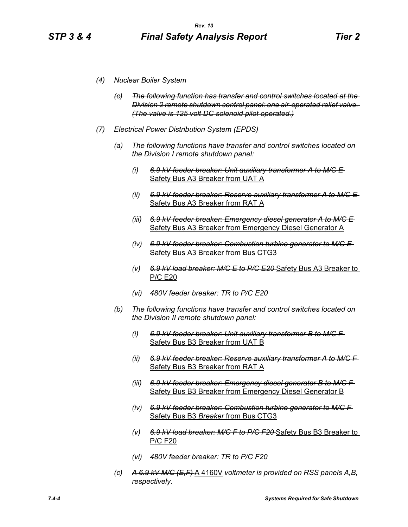- *(4) Nuclear Boiler System*
	- *(c) The following function has transfer and control switches located at the Division 2 remote shutdown control panel: one air-operated relief valve. (The valve is 125 volt DC solenoid pilot operated.)*
- *(7) Electrical Power Distribution System (EPDS)*
	- *(a) The following functions have transfer and control switches located on the Division I remote shutdown panel:*
		- *(i) 6.9 kV feeder breaker: Unit auxiliary transformer A to M/C E*  Safety Bus A3 Breaker from UAT A
		- *(ii) 6.9 kV feeder breaker: Reserve auxiliary transformer A to M/C E*  Safety Bus A3 Breaker from RAT A
		- *(iii) 6.9 kV feeder breaker: Emergency diesel generator A to M/C E*  Safety Bus A3 Breaker from Emergency Diesel Generator A
		- *(iv) 6.9 kV feeder breaker: Combustion turbine generator to M/C E*  Safety Bus A3 Breaker from Bus CTG3
		- *(v) 6.9 kV load breaker: M/C E to P/C E20* Safety Bus A3 Breaker to P/C E20
		- *(vi) 480V feeder breaker: TR to P/C E20*
	- *(b) The following functions have transfer and control switches located on the Division II remote shutdown panel:*
		- *(i) 6.9 kV feeder breaker: Unit auxiliary transformer B to M/C F*  Safety Bus B3 Breaker from UAT B
		- *(ii) 6.9 kV feeder breaker: Reserve auxiliary transformer A to M/C F*  Safety Bus B3 Breaker from RAT A
		- *(iii) 6.9 kV feeder breaker: Emergency diesel generator B to M/C F*  Safety Bus B3 Breaker from Emergency Diesel Generator B
		- *(iv) 6.9 kV feeder breaker: Combustion turbine generator to M/C F*  Safety Bus B3 *Breaker* from Bus CTG3
		- *(v) 6.9 kV load breaker: M/C F to P/C F20* Safety Bus B3 Breaker to P/C F20
		- *(vi) 480V feeder breaker: TR to P/C F20*
	- *(c) A 6.9 kV M/C (E,F)* A 4160V *voltmeter is provided on RSS panels A,B, respectively.*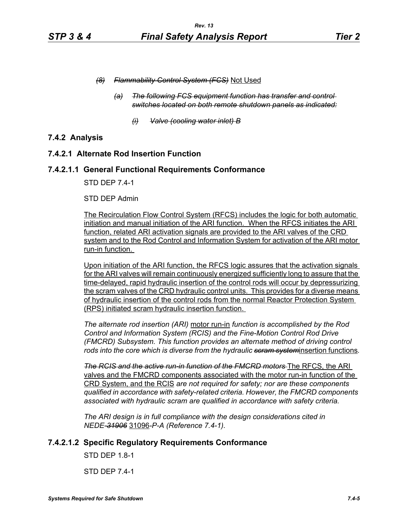- *(8) Flammability Control System (FCS)* Not Used
	- *(a) The following FCS equipment function has transfer and control switches located on both remote shutdown panels as indicated:*
		- *(i) Valve (cooling water inlet) B*

# **7.4.2 Analysis**

# **7.4.2.1 Alternate Rod Insertion Function**

### **7.4.2.1.1 General Functional Requirements Conformance**

STD DEP 7.4-1

#### STD DEP Admin

The Recirculation Flow Control System (RFCS) includes the logic for both automatic initiation and manual initiation of the ARI function. When the RFCS initiates the ARI function, related ARI activation signals are provided to the ARI valves of the CRD system and to the Rod Control and Information System for activation of the ARI motor run-in function.

Upon initiation of the ARI function, the RFCS logic assures that the activation signals for the ARI valves will remain continuously energized sufficiently long to assure that the time-delayed, rapid hydraulic insertion of the control rods will occur by depressurizing the scram valves of the CRD hydraulic control units. This provides for a diverse means of hydraulic insertion of the control rods from the normal Reactor Protection System (RPS) initiated scram hydraulic insertion function.

*The alternate rod insertion (ARI)* motor run-in *function is accomplished by the Rod Control and Information System (RCIS) and the Fine-Motion Control Rod Drive (FMCRD) Subsystem. This function provides an alternate method of driving control rods into the core which is diverse from the hydraulic scram system*insertion functions*.*

*The RCIS and the active run-in function of the FMCRD motors* The RFCS, the ARI valves and the FMCRD components associated with the motor run-in function of the CRD System, and the RCIS *are not required for safety; nor are these components qualified in accordance with safety-related criteria. However, the FMCRD components associated with hydraulic scram are qualified in accordance with safety criteria.*

*The ARI design is in full compliance with the design considerations cited in NEDE-31906* 31096*-P-A (Reference 7.4-1).* 

### **7.4.2.1.2 Specific Regulatory Requirements Conformance**

STD DEP 1.8-1

STD DEP 7.4-1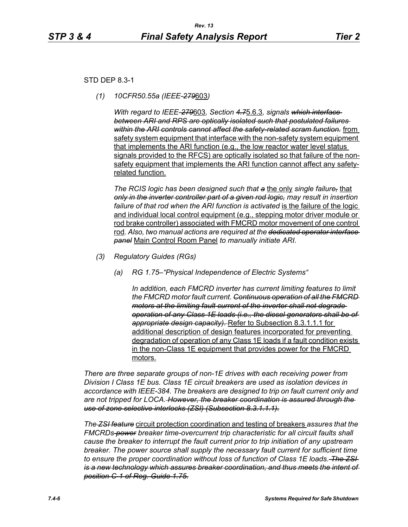### STD DEP 8.3-1

*(1) 10CFR50.55a (IEEE-279*603*)*

*With regard to IEEE-279*603*, Section 4.7*5.6.3*, signals which interface between ARI and RPS are optically isolated such that postulated failures within the ARI controls cannot affect the safety-related scram function.* from safety system equipment that interface with the non-safety system equipment that implements the ARI function (e.g., the low reactor water level status signals provided to the RFCS) are optically isolated so that failure of the nonsafety equipment that implements the ARI function cannot affect any safetyrelated function.

*The RCIS logic has been designed such that a* the only *single failure,* that *only in the inverter controller part of a given rod logic, may result in insertion*  failure of that rod when the ARI function is activated is the failure of the logic and individual local control equipment (e.g., stepping motor driver module or rod brake controller) associated with FMCRD motor movement of one control rod*. Also, two manual actions are required at the dedicated operator interface panel* Main Control Room Panel *to manually initiate ARI.* 

- *(3) Regulatory Guides (RGs)*
	- *(a) RG 1.75–"Physical Independence of Electric Systems"*

*In addition, each FMCRD inverter has current limiting features to limit the FMCRD motor fault current. Continuous operation of all the FMCRD motors at the limiting fault current of the inverter shall not degrade operation of any Class 1E loads (i.e., the diesel generators shall be of appropriate design capacity).* Refer to Subsection 8.3.1.1.1 for additional description of design features incorporated for preventing degradation of operation of any Class 1E loads if a fault condition exists in the non-Class 1E equipment that provides power for the FMCRD motors.

*There are three separate groups of non-1E drives with each receiving power from Division I Class 1E bus. Class 1E circuit breakers are used as isolation devices in accordance with IEEE-384. The breakers are designed to trip on fault current only and are not tripped for LOCA. However, the breaker coordination is assured through the use of zone selective interlocks (ZSI) (Subsection 8.3.1.1.1).*

*The ZSI feature* circuit protection coordination and testing of breakers *assures that the FMCRDs power breaker time-overcurrent trip characteristic for all circuit faults shall cause the breaker to interrupt the fault current prior to trip initiation of any upstream breaker. The power source shall supply the necessary fault current for sufficient time to ensure the proper coordination without loss of function of Class 1E loads. The ZSI is a new technology which assures breaker coordination, and thus meets the intent of position C-1 of Reg. Guide 1.75.*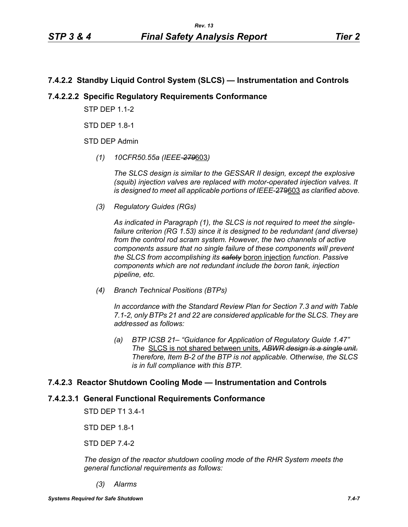# **7.4.2.2 Standby Liquid Control System (SLCS) — Instrumentation and Controls**

# **7.4.2.2.2 Specific Regulatory Requirements Conformance**

**STP DFP 1 1-2** 

STD DFP 18-1

STD DEP Admin

*(1) 10CFR50.55a (IEEE-279*603*)*

*The SLCS design is similar to the GESSAR II design, except the explosive (squib) injection valves are replaced with motor-operated injection valves. It is designed to meet all applicable portions of IEEE*-279603 *as clarified above.*

*(3) Regulatory Guides (RGs)*

*As indicated in Paragraph (1), the SLCS is not required to meet the singlefailure criterion (RG 1.53) since it is designed to be redundant (and diverse) from the control rod scram system. However, the two channels of active components assure that no single failure of these components will prevent the SLCS from accomplishing its safety* boron injection *function. Passive components which are not redundant include the boron tank, injection pipeline, etc.*

*(4) Branch Technical Positions (BTPs)*

*In accordance with the Standard Review Plan for Section 7.3 and with Table 7.1-2, only BTPs 21 and 22 are considered applicable for the SLCS. They are addressed as follows:*

*(a) BTP ICSB 21– "Guidance for Application of Regulatory Guide 1.47" The* SLCS is not shared between units. *ABWR design is a single unit. Therefore, Item B-2 of the BTP is not applicable. Otherwise, the SLCS is in full compliance with this BTP.*

### **7.4.2.3 Reactor Shutdown Cooling Mode — Instrumentation and Controls**

### **7.4.2.3.1 General Functional Requirements Conformance**

STD DEP T1 3.4-1

STD DEP 1.8-1

STD DEP 7.4-2

*The design of the reactor shutdown cooling mode of the RHR System meets the general functional requirements as follows:*

*(3) Alarms*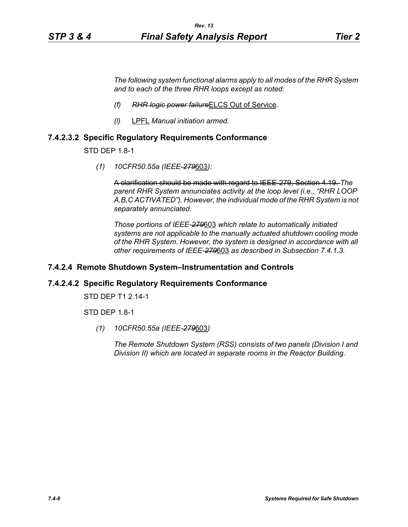*The following system functional alarms apply to all modes of the RHR System and to each of the three RHR loops except as noted:*

- *(f) RHR logic power failure*ELCS Out of Service*.*
- *(l)* LPFL *Manual initiation armed.*

### **7.4.2.3.2 Specific Regulatory Requirements Conformance**

STD DEP 1.8-1

*(1) 10CFR50.55a (IEEE-279*603*):*

A clarification should be made with regard to IEEE-279, Section 4.19. *The parent RHR System annunciates activity at the loop level (i.e., "RHR LOOP A,B,C ACTIVATED"). However, the individual mode of the RHR System is not separately annunciated.*

*Those portions of IEEE-279*603 *which relate to automatically initiated systems are not applicable to the manually actuated shutdown cooling mode of the RHR System. However, the system is designed in accordance with all other requirements of IEEE-279*603 *as described in Subsection 7.4.1.3.*

### **7.4.2.4 Remote Shutdown System–Instrumentation and Controls**

#### **7.4.2.4.2 Specific Regulatory Requirements Conformance**

STD DEP T1 2.14-1

STD DEP 1.8-1

*(1) 10CFR50.55a (IEEE-279*603*)*

*The Remote Shutdown System (RSS) consists of two panels (Division I and Division II) which are located in separate rooms in the Reactor Building.*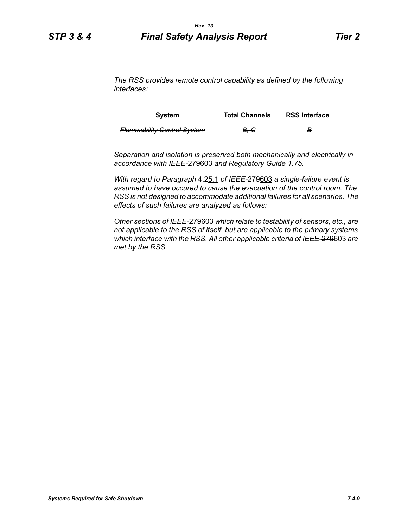*The RSS provides remote control capability as defined by the following interfaces:*

| System                             | <b>Total Channels</b> | <b>RSS Interface</b> |
|------------------------------------|-----------------------|----------------------|
| <b>Flammability Control System</b> | . B. G                | в                    |

*Separation and isolation is preserved both mechanically and electrically in accordance with IEEE-*279603 *and Regulatory Guide 1.75.*

*With regard to Paragraph* 4.25.1 *of IEEE-*279603 *a single-failure event is assumed to have occured to cause the evacuation of the control room. The RSS is not designed to accommodate additional failures for all scenarios. The effects of such failures are analyzed as follows:*

*Other sections of IEEE-*279603 *which relate to testability of sensors, etc., are not applicable to the RSS of itself, but are applicable to the primary systems which interface with the RSS. All other applicable criteria of IEEE-*279603 *are met by the RSS.*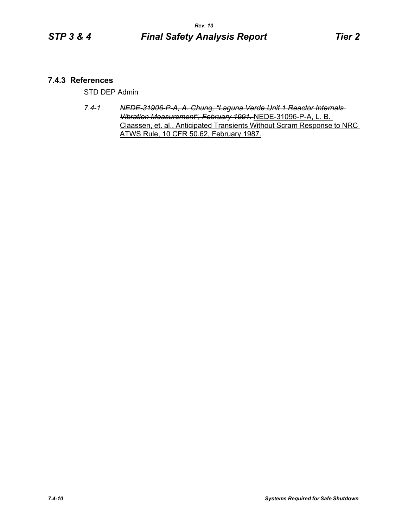## **7.4.3 References**

STD DEP Admin

*7.4-1 NEDE-31906-P-A, A. Chung, "Laguna Verde Unit 1 Reactor Internals Vibration Measurement", February 1991.* NEDE-31096-P-A, L. B. Claassen, et. al., Anticipated Transients Without Scram Response to NRC ATWS Rule, 10 CFR 50.62, February 1987.